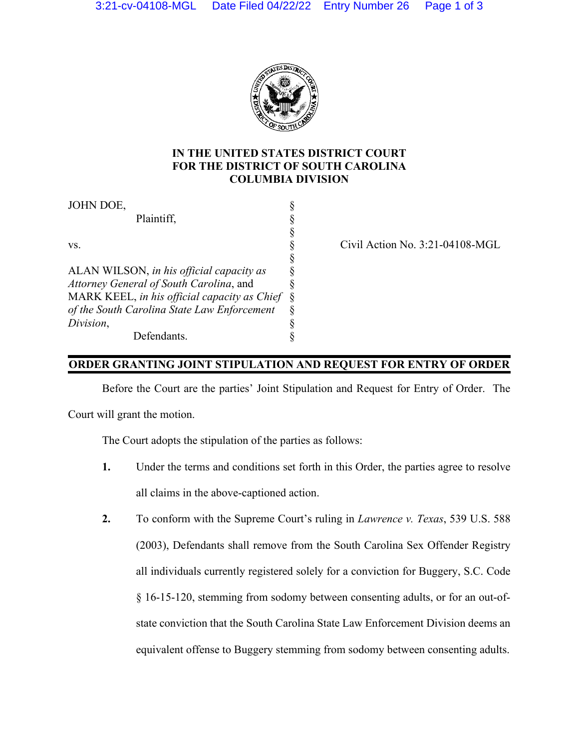

## **IN THE UNITED STATES DISTRICT COURT FOR THE DISTRICT OF SOUTH CAROLINA COLUMBIA DIVISION**

| JOHN DOE,                                    |   |
|----------------------------------------------|---|
| Plaintiff,                                   |   |
|                                              |   |
| VS.                                          |   |
|                                              |   |
| ALAN WILSON, in his official capacity as     |   |
| Attorney General of South Carolina, and      |   |
| MARK KEEL, in his official capacity as Chief | Ş |
| of the South Carolina State Law Enforcement  |   |
| Division,                                    |   |
| Defendants                                   |   |

Civil Action No. 3:21-04108-MGL

## **ORDER GRANTING JOINT STIPULATION AND REQUEST FOR ENTRY OF ORDER**

Before the Court are the parties' Joint Stipulation and Request for Entry of Order. The

Court will grant the motion.

The Court adopts the stipulation of the parties as follows:

- **1.** Under the terms and conditions set forth in this Order, the parties agree to resolve all claims in the above-captioned action.
- **2.** To conform with the Supreme Court's ruling in *Lawrence v. Texas*, 539 U.S. 588 (2003), Defendants shall remove from the South Carolina Sex Offender Registry all individuals currently registered solely for a conviction for Buggery, S.C. Code § 16-15-120, stemming from sodomy between consenting adults, or for an out-ofstate conviction that the South Carolina State Law Enforcement Division deems an equivalent offense to Buggery stemming from sodomy between consenting adults.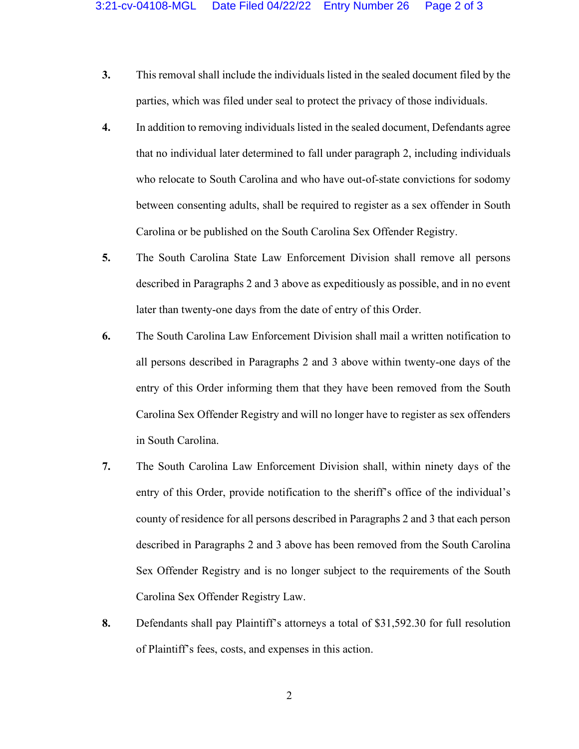- **3.** This removal shall include the individuals listed in the sealed document filed by the parties, which was filed under seal to protect the privacy of those individuals.
- **4.** In addition to removing individuals listed in the sealed document, Defendants agree that no individual later determined to fall under paragraph 2, including individuals who relocate to South Carolina and who have out-of-state convictions for sodomy between consenting adults, shall be required to register as a sex offender in South Carolina or be published on the South Carolina Sex Offender Registry.
- **5.** The South Carolina State Law Enforcement Division shall remove all persons described in Paragraphs 2 and 3 above as expeditiously as possible, and in no event later than twenty-one days from the date of entry of this Order.
- **6.** The South Carolina Law Enforcement Division shall mail a written notification to all persons described in Paragraphs 2 and 3 above within twenty-one days of the entry of this Order informing them that they have been removed from the South Carolina Sex Offender Registry and will no longer have to register as sex offenders in South Carolina.
- **7.** The South Carolina Law Enforcement Division shall, within ninety days of the entry of this Order, provide notification to the sheriff's office of the individual's county of residence for all persons described in Paragraphs 2 and 3 that each person described in Paragraphs 2 and 3 above has been removed from the South Carolina Sex Offender Registry and is no longer subject to the requirements of the South Carolina Sex Offender Registry Law.
- **8.** Defendants shall pay Plaintiff's attorneys a total of \$31,592.30 for full resolution of Plaintiff's fees, costs, and expenses in this action.